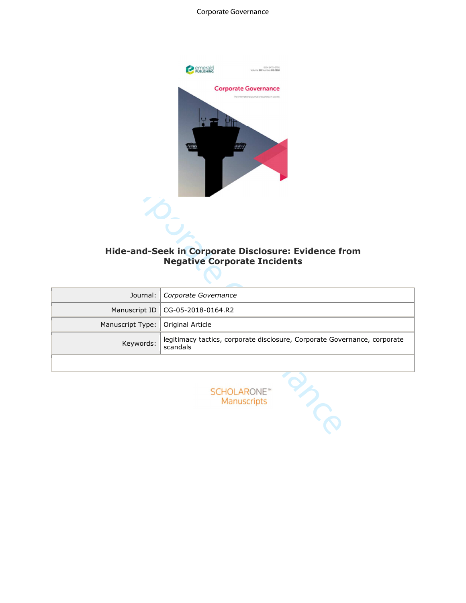# Corporate Governance



## **Hide-and-Seek in Corporate Disclosure: Evidence from Negative Corporate Incidents**

|                  | Hide-and-Seek in Corporate Disclosure: Evidence from<br><b>Negative Corporate Incidents</b> |
|------------------|---------------------------------------------------------------------------------------------|
| Journal:         | Corporate Governance                                                                        |
| Manuscript ID    | CG-05-2018-0164.R2                                                                          |
| Manuscript Type: | Original Article                                                                            |
| Keywords:        | legitimacy tactics, corporate disclosure, Corporate Governance, corporate<br>scandals       |
|                  |                                                                                             |
|                  | <b>SCHOLARONE</b> <sup>®</sup><br>Manuscripts                                               |

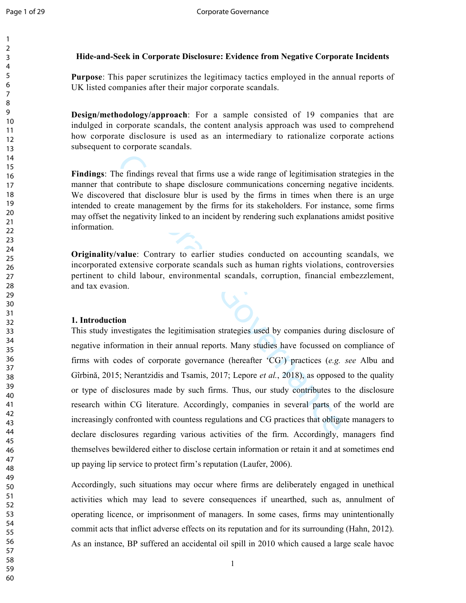## **Hide-and-Seek in Corporate Disclosure: Evidence from Negative Corporate Incidents**

**Purpose**: This paper scrutinizes the legitimacy tactics employed in the annual reports of UK listed companies after their major corporate scandals.

**Design/methodology/approach**: For a sample consisted of 19 companies that are indulged in corporate scandals, the content analysis approach was used to comprehend how corporate disclosure is used as an intermediary to rationalize corporate actions subsequent to corporate scandals.

**Findings**: The findings reveal that firms use a wide range of legitimisation strategies in the manner that contribute to shape disclosure communications concerning negative incidents. We discovered that disclosure blur is used by the firms in times when there is an urge intended to create management by the firms for its stakeholders. For instance, some firms may offset the negativity linked to an incident by rendering such explanations amidst positive information.

**Originality/value**: Contrary to earlier studies conducted on accounting scandals, we incorporated extensive corporate scandals such as human rights violations, controversies pertinent to child labour, environmental scandals, corruption, financial embezzlement, and tax evasion.

## **1. Introduction**

the findings reveal that firms use a wide range of legitimisation st<br>contribute to shape disclosure communications concerning negated that disclosure blur is used by the firms in times when the<br>reate management by the fir This study investigates the legitimisation strategies used by companies during disclosure of negative information in their annual reports. Many studies have focussed on compliance of firms with codes of corporate governance (hereafter 'CG') practices (*e.g. see* Albu and Gîrbină, 2015; Nerantzidis and Tsamis, 2017; Lepore *et al.*, 2018), as opposed to the quality or type of disclosures made by such firms. Thus, our study contributes to the disclosure research within CG literature. Accordingly, companies in several parts of the world are increasingly confronted with countess regulations and CG practices that obligate managers to declare disclosures regarding various activities of the firm. Accordingly, managers find themselves bewildered either to disclose certain information or retain it and at sometimes end up paying lip service to protect firm's reputation (Laufer, 2006).

Accordingly, such situations may occur where firms are deliberately engaged in unethical activities which may lead to severe consequences if unearthed, such as, annulment of operating licence, or imprisonment of managers. In some cases, firms may unintentionally commit acts that inflict adverse effects on its reputation and for its surrounding (Hahn, 2012). As an instance, BP suffered an accidental oil spill in 2010 which caused a large scale havoc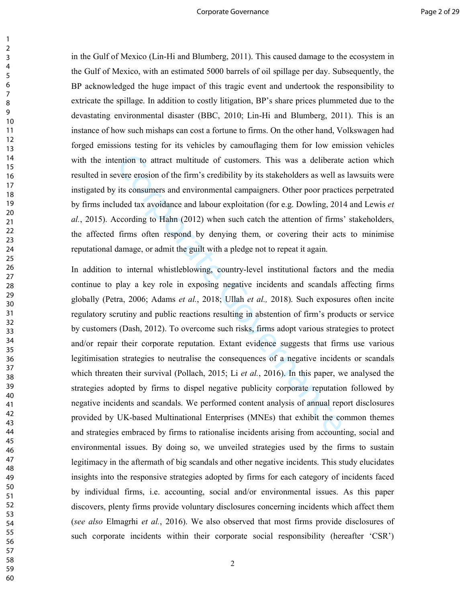in the Gulf of Mexico (Lin-Hi and Blumberg, 2011). This caused damage to the ecosystem in the Gulf of Mexico, with an estimated 5000 barrels of oil spillage per day. Subsequently, the BP acknowledged the huge impact of this tragic event and undertook the responsibility to extricate the spillage. In addition to costly litigation, BP's share prices plummeted due to the devastating environmental disaster (BBC, 2010; Lin-Hi and Blumberg, 2011). This is an instance of how such mishaps can cost a fortune to firms. On the other hand, Volkswagen had forged emissions testing for its vehicles by camouflaging them for low emission vehicles with the intention to attract multitude of customers. This was a deliberate action which resulted in severe erosion of the firm's credibility by its stakeholders as well as lawsuits were instigated by its consumers and environmental campaigners. Other poor practices perpetrated by firms included tax avoidance and labour exploitation (for e.g. Dowling, 2014 and Lewis *et al.*, 2015). According to Hahn (2012) when such catch the attention of firms' stakeholders, the affected firms often respond by denying them, or covering their acts to minimise reputational damage, or admit the guilt with a pledge not to repeat it again.

ention to attract multitude of customers. This was a deliberate<br>vere erosion of the firm's credibility by its stakeholders as well as<br>its consumers and environmental campaigners. Other poor practic<br>uded tax avoidance and In addition to internal whistleblowing, country-level institutional factors and the media continue to play a key role in exposing negative incidents and scandals affecting firms globally (Petra, 2006; Adams *et al.*, 2018; Ullah *et al.,* 2018). Such exposures often incite regulatory scrutiny and public reactions resulting in abstention of firm's products or service by customers (Dash, 2012). To overcome such risks, firms adopt various strategies to protect and/or repair their corporate reputation. Extant evidence suggests that firms use various legitimisation strategies to neutralise the consequences of a negative incidents or scandals which threaten their survival (Pollach, 2015; Li *et al.*, 2016). In this paper, we analysed the strategies adopted by firms to dispel negative publicity corporate reputation followed by negative incidents and scandals. We performed content analysis of annual report disclosures provided by UK-based Multinational Enterprises (MNEs) that exhibit the common themes and strategies embraced by firms to rationalise incidents arising from accounting, social and environmental issues. By doing so, we unveiled strategies used by the firms to sustain legitimacy in the aftermath of big scandals and other negative incidents. This study elucidates insights into the responsive strategies adopted by firms for each category of incidents faced by individual firms, i.e. accounting, social and/or environmental issues. As this paper discovers, plenty firms provide voluntary disclosures concerning incidents which affect them (*see also* Elmagrhi *et al.*, 2016). We also observed that most firms provide disclosures of such corporate incidents within their corporate social responsibility (hereafter 'CSR')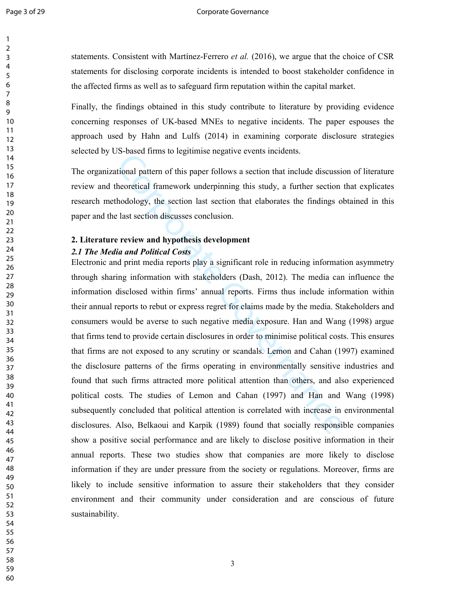#### Page 3 of 29 Corporate Governance

statements. Consistent with Martínez-Ferrero *et al.* (2016), we argue that the choice of CSR statements for disclosing corporate incidents is intended to boost stakeholder confidence in the affected firms as well as to safeguard firm reputation within the capital market.

Finally, the findings obtained in this study contribute to literature by providing evidence concerning responses of UK-based MNEs to negative incidents. The paper espouses the approach used by Hahn and Lulfs (2014) in examining corporate disclosure strategies selected by US-based firms to legitimise negative events incidents.

The organizational pattern of this paper follows a section that include discussion of literature review and theoretical framework underpinning this study, a further section that explicates research methodology, the section last section that elaborates the findings obtained in this paper and the last section discusses conclusion.

## **2. Literature review and hypothesis development**

#### *2.1 The Media and Political Costs*

Solutional pattern of this paper follows a section that include discussion-<br>tional pattern of this paper follows a section that include discussio<br>heoretical framework underpinning this study, a further section<br>hodology, th Electronic and print media reports play a significant role in reducing information asymmetry through sharing information with stakeholders (Dash, 2012). The media can influence the information disclosed within firms' annual reports. Firms thus include information within their annual reports to rebut or express regret for claims made by the media. Stakeholders and consumers would be averse to such negative media exposure. Han and Wang (1998) argue that firms tend to provide certain disclosures in order to minimise political costs. This ensures that firms are not exposed to any scrutiny or scandals. Lemon and Cahan (1997) examined the disclosure patterns of the firms operating in environmentally sensitive industries and found that such firms attracted more political attention than others, and also experienced political costs. The studies of Lemon and Cahan (1997) and Han and Wang (1998) subsequently concluded that political attention is correlated with increase in environmental disclosures. Also, Belkaoui and Karpik (1989) found that socially responsible companies show a positive social performance and are likely to disclose positive information in their annual reports. These two studies show that companies are more likely to disclose information if they are under pressure from the society or regulations. Moreover, firms are likely to include sensitive information to assure their stakeholders that they consider environment and their community under consideration and are conscious of future sustainability.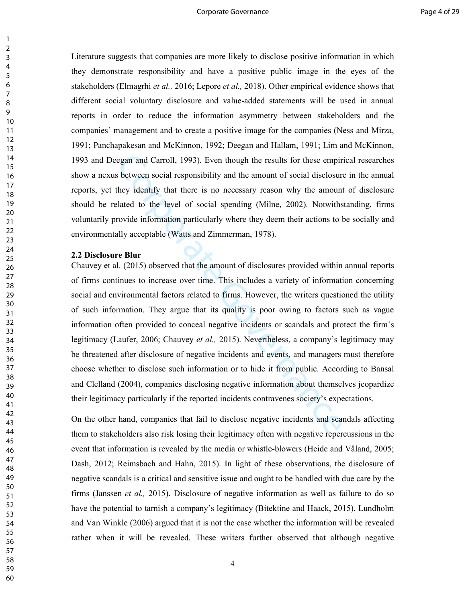Literature suggests that companies are more likely to disclose positive information in which they demonstrate responsibility and have a positive public image in the eyes of the stakeholders (Elmagrhi *et al.,* 2016; Lepore *et al.,* 2018). Other empirical evidence shows that different social voluntary disclosure and value-added statements will be used in annual reports in order to reduce the information asymmetry between stakeholders and the companies' management and to create a positive image for the companies (Ness and Mirza, 1991; Panchapakesan and McKinnon, 1992; Deegan and Hallam, 1991; Lim and McKinnon, 1993 and Deegan and Carroll, 1993). Even though the results for these empirical researches show a nexus between social responsibility and the amount of social disclosure in the annual reports, yet they identify that there is no necessary reason why the amount of disclosure should be related to the level of social spending (Milne, 2002). Notwithstanding, firms voluntarily provide information particularly where they deem their actions to be socially and environmentally acceptable (Watts and Zimmerman, 1978).

#### **2.2 Disclosure Blur**

egan and Carroll, 1993). Even though the results for these empiris between social responsibility and the amount of social disclosure<br>they identify that there is no necessary reason why the amount<br>lated to the level of soci Chauvey et al. (2015) observed that the amount of disclosures provided within annual reports of firms continues to increase over time. This includes a variety of information concerning social and environmental factors related to firms. However, the writers questioned the utility of such information. They argue that its quality is poor owing to factors such as vague information often provided to conceal negative incidents or scandals and protect the firm's legitimacy (Laufer, 2006; Chauvey *et al.,* 2015). Nevertheless, a company's legitimacy may be threatened after disclosure of negative incidents and events, and managers must therefore choose whether to disclose such information or to hide it from public. According to Bansal and Clelland (2004), companies disclosing negative information about themselves jeopardize their legitimacy particularly if the reported incidents contravenes society's expectations.

On the other hand, companies that fail to disclose negative incidents and scandals affecting them to stakeholders also risk losing their legitimacy often with negative repercussions in the event that information is revealed by the media or whistle-blowers (Heide and Våland, 2005; Dash, 2012; Reimsbach and Hahn, 2015). In light of these observations, the disclosure of negative scandals is a critical and sensitive issue and ought to be handled with due care by the firms (Janssen *et al.,* 2015). Disclosure of negative information as well as failure to do so have the potential to tarnish a company's legitimacy (Bitektine and Haack, 2015). Lundholm and Van Winkle (2006) argued that it is not the case whether the information will be revealed rather when it will be revealed. These writers further observed that although negative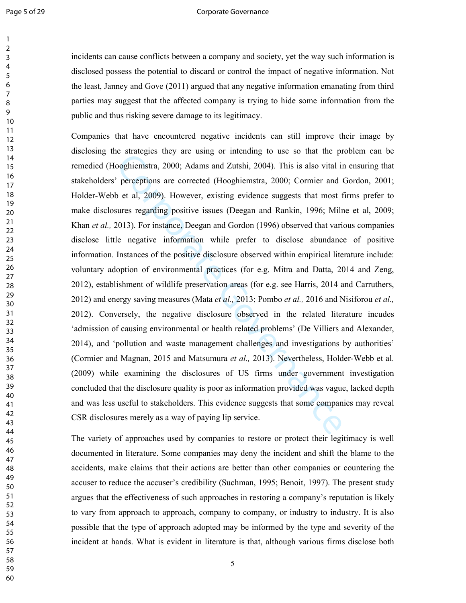#### Page 5 of 29 Corporate Governance

incidents can cause conflicts between a company and society, yet the way such information is disclosed possess the potential to discard or control the impact of negative information. Not the least, Janney and Gove (2011) argued that any negative information emanating from third parties may suggest that the affected company is trying to hide some information from the public and thus risking severe damage to its legitimacy.

constrained and a metalling to use So that the prooghiemstra, 2000; Adams and Zutshi, 2004). This is also vital in proghiemstra, 2000; Adams and Zutshi, 2004). This is also vital in preceptions are corrected (Hooghiemstra Companies that have encountered negative incidents can still improve their image by disclosing the strategies they are using or intending to use so that the problem can be remedied (Hooghiemstra, 2000; Adams and Zutshi, 2004). This is also vital in ensuring that stakeholders' perceptions are corrected (Hooghiemstra, 2000; Cormier and Gordon, 2001; Holder-Webb et al, 2009). However, existing evidence suggests that most firms prefer to make disclosures regarding positive issues (Deegan and Rankin, 1996; Milne et al, 2009; Khan *et al.,* 2013). For instance, Deegan and Gordon (1996) observed that various companies disclose little negative information while prefer to disclose abundance of positive information. Instances of the positive disclosure observed within empirical literature include: voluntary adoption of environmental practices (for e.g. Mitra and Datta, 2014 and Zeng, 2012), establishment of wildlife preservation areas (for e.g. see Harris, 2014 and Carruthers, 2012) and energy saving measures (Mata *et al.,* 2013; Pombo *et al.,* 2016 and Nisiforou *et al.,* 2012). Conversely, the negative disclosure observed in the related literature incudes 'admission of causing environmental or health related problems' (De Villiers and Alexander, 2014), and 'pollution and waste management challenges and investigations by authorities' (Cormier and Magnan, 2015 and Matsumura *et al.,* 2013). Nevertheless, Holder-Webb et al. (2009) while examining the disclosures of US firms under government investigation concluded that the disclosure quality is poor as information provided was vague, lacked depth and was less useful to stakeholders. This evidence suggests that some companies may reveal CSR disclosures merely as a way of paying lip service.

The variety of approaches used by companies to restore or protect their legitimacy is well documented in literature. Some companies may deny the incident and shift the blame to the accidents, make claims that their actions are better than other companies or countering the accuser to reduce the accuser's credibility (Suchman, 1995; Benoit, 1997). The present study argues that the effectiveness of such approaches in restoring a company's reputation is likely to vary from approach to approach, company to company, or industry to industry. It is also possible that the type of approach adopted may be informed by the type and severity of the incident at hands. What is evident in literature is that, although various firms disclose both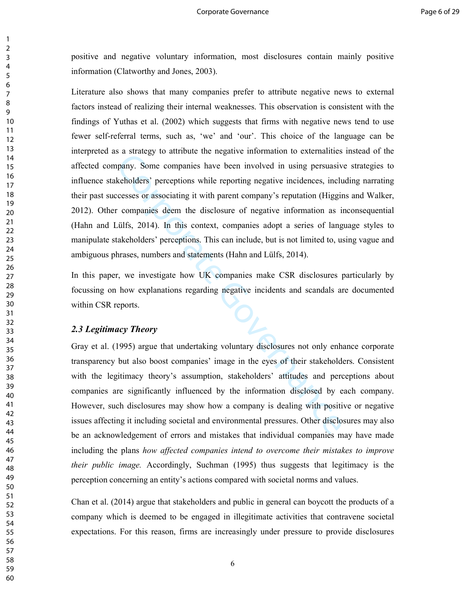positive and negative voluntary information, most disclosures contain mainly positive information (Clatworthy and Jones, 2003).

Sa strategy to attroduce the negative information to externative<br>pany. Some companies have been involved in using persuasive<br>keholders' perceptions while reporting negative incidences, inclu<br>cresses or associating it with Literature also shows that many companies prefer to attribute negative news to external factors instead of realizing their internal weaknesses. This observation is consistent with the findings of Yuthas et al. (2002) which suggests that firms with negative news tend to use fewer self-referral terms, such as, 'we' and 'our'. This choice of the language can be interpreted as a strategy to attribute the negative information to externalities instead of the affected company. Some companies have been involved in using persuasive strategies to influence stakeholders' perceptions while reporting negative incidences, including narrating their past successes or associating it with parent company's reputation (Higgins and Walker, 2012). Other companies deem the disclosure of negative information as inconsequential (Hahn and Lülfs, 2014). In this context, companies adopt a series of language styles to manipulate stakeholders' perceptions. This can include, but is not limited to, using vague and ambiguous phrases, numbers and statements (Hahn and Lülfs, 2014).

In this paper, we investigate how UK companies make CSR disclosures particularly by focussing on how explanations regarding negative incidents and scandals are documented within CSR reports.

#### *2.3 Legitimacy Theory*

Gray et al. (1995) argue that undertaking voluntary disclosures not only enhance corporate transparency but also boost companies' image in the eyes of their stakeholders. Consistent with the legitimacy theory's assumption, stakeholders' attitudes and perceptions about companies are significantly influenced by the information disclosed by each company. However, such disclosures may show how a company is dealing with positive or negative issues affecting it including societal and environmental pressures. Other disclosures may also be an acknowledgement of errors and mistakes that individual companies may have made including the plans *how affected companies intend to overcome their mistakes to improve their public image.* Accordingly, Suchman (1995) thus suggests that legitimacy is the perception concerning an entity's actions compared with societal norms and values.

Chan et al. (2014) argue that stakeholders and public in general can boycott the products of a company which is deemed to be engaged in illegitimate activities that contravene societal expectations. For this reason, firms are increasingly under pressure to provide disclosures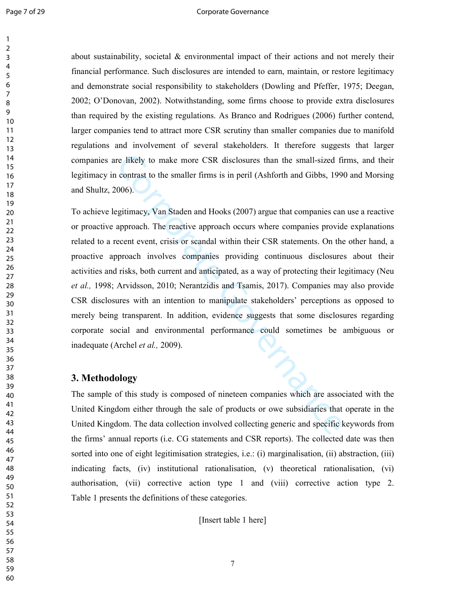#### Page 7 of 29 Corporate Governance

about sustainability, societal  $\&$  environmental impact of their actions and not merely their financial performance. Such disclosures are intended to earn, maintain, or restore legitimacy and demonstrate social responsibility to stakeholders (Dowling and Pfeffer, 1975; Deegan, 2002; O'Donovan, 2002). Notwithstanding, some firms choose to provide extra disclosures than required by the existing regulations. As Branco and Rodrigues (2006) further contend, larger companies tend to attract more CSR scrutiny than smaller companies due to manifold regulations and involvement of several stakeholders. It therefore suggests that larger companies are likely to make more CSR disclosures than the small-sized firms, and their legitimacy in contrast to the smaller firms is in peril (Ashforth and Gibbs, 1990 and Morsing and Shultz, 2006).

re likely to make more CSR disclosures than the small-sized fi<br>contrast to the smaller firms is in peril (Ashforth and Gibbs, 199<br>006).<br>Sigitimacy, Van Staden and Hooks (2007) argue that companies can<br>approach. The reacti To achieve legitimacy, Van Staden and Hooks (2007) argue that companies can use a reactive or proactive approach. The reactive approach occurs where companies provide explanations related to a recent event, crisis or scandal within their CSR statements. On the other hand, a proactive approach involves companies providing continuous disclosures about their activities and risks, both current and anticipated, as a way of protecting their legitimacy (Neu *et al.,* 1998; Arvidsson, 2010; Nerantzidis and Tsamis, 2017). Companies may also provide CSR disclosures with an intention to manipulate stakeholders' perceptions as opposed to merely being transparent. In addition, evidence suggests that some disclosures regarding corporate social and environmental performance could sometimes be ambiguous or inadequate (Archel *et al.,* 2009).

## **3. Methodology**

The sample of this study is composed of nineteen companies which are associated with the United Kingdom either through the sale of products or owe subsidiaries that operate in the United Kingdom. The data collection involved collecting generic and specific keywords from the firms' annual reports (i.e. CG statements and CSR reports). The collected date was then sorted into one of eight legitimisation strategies, i.e.: (i) marginalisation, (ii) abstraction, (iii) indicating facts, (iv) institutional rationalisation, (v) theoretical rationalisation, (vi) authorisation, (vii) corrective action type 1 and (viii) corrective action type 2. Table 1 presents the definitions of these categories.

[Insert table 1 here]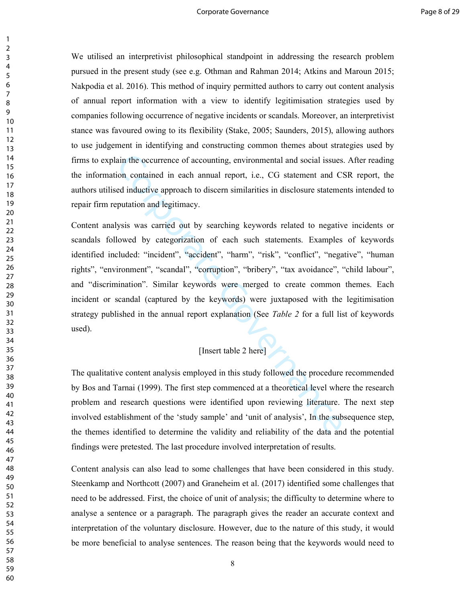We utilised an interpretivist philosophical standpoint in addressing the research problem pursued in the present study (see e.g. Othman and Rahman 2014; Atkins and Maroun 2015; Nakpodia et al. 2016). This method of inquiry permitted authors to carry out content analysis of annual report information with a view to identify legitimisation strategies used by companies following occurrence of negative incidents or scandals. Moreover, an interpretivist stance was favoured owing to its flexibility (Stake, 2005; Saunders, 2015), allowing authors to use judgement in identifying and constructing common themes about strategies used by firms to explain the occurrence of accounting, environmental and social issues. After reading the information contained in each annual report, i.e., CG statement and CSR report, the authors utilised inductive approach to discern similarities in disclosure statements intended to repair firm reputation and legitimacy.

ain the occurrence of accounting, environmental and social issues<br>tion contained in each annual report, i.e., CG statement and C:<br>ed inductive approach to discern similarities in disclosure stateme<br>eputation and legitimacy Content analysis was carried out by searching keywords related to negative incidents or scandals followed by categorization of each such statements. Examples of keywords identified included: "incident", "accident", "harm", "risk", "conflict", "negative", "human rights", "environment", "scandal", "corruption", "bribery", "tax avoidance", "child labour", and "discrimination". Similar keywords were merged to create common themes. Each incident or scandal (captured by the keywords) were juxtaposed with the legitimisation strategy published in the annual report explanation (See *Table 2* for a full list of keywords used).

# [Insert table 2 here]

The qualitative content analysis employed in this study followed the procedure recommended by Bos and Tarnai (1999). The first step commenced at a theoretical level where the research problem and research questions were identified upon reviewing literature. The next step involved establishment of the 'study sample' and 'unit of analysis', In the subsequence step, the themes identified to determine the validity and reliability of the data and the potential findings were pretested. The last procedure involved interpretation of results.

Content analysis can also lead to some challenges that have been considered in this study. Steenkamp and Northcott (2007) and Graneheim et al. (2017) identified some challenges that need to be addressed. First, the choice of unit of analysis; the difficulty to determine where to analyse a sentence or a paragraph. The paragraph gives the reader an accurate context and interpretation of the voluntary disclosure. However, due to the nature of this study, it would be more beneficial to analyse sentences. The reason being that the keywords would need to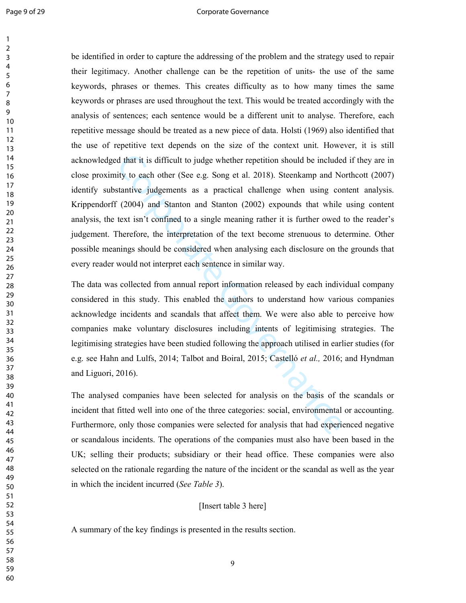#### Page 9 of 29 Corporate Governance

d that it is difficult to judge whether repetition should be include<br>ity to each other (See e.g. Song et al. 2018). Steenkamp and Ne<br>stantive judgements as a practical challenge when using cor<br>
(2004) and Stanton and Stan be identified in order to capture the addressing of the problem and the strategy used to repair their legitimacy. Another challenge can be the repetition of units- the use of the same keywords, phrases or themes. This creates difficulty as to how many times the same keywords or phrases are used throughout the text. This would be treated accordingly with the analysis of sentences; each sentence would be a different unit to analyse. Therefore, each repetitive message should be treated as a new piece of data. Holsti (1969) also identified that the use of repetitive text depends on the size of the context unit. However, it is still acknowledged that it is difficult to judge whether repetition should be included if they are in close proximity to each other (See e.g. Song et al. 2018). Steenkamp and Northcott (2007) identify substantive judgements as a practical challenge when using content analysis. Krippendorff (2004) and Stanton and Stanton (2002) expounds that while using content analysis, the text isn't confined to a single meaning rather it is further owed to the reader's judgement. Therefore, the interpretation of the text become strenuous to determine. Other possible meanings should be considered when analysing each disclosure on the grounds that every reader would not interpret each sentence in similar way.

The data was collected from annual report information released by each individual company considered in this study. This enabled the authors to understand how various companies acknowledge incidents and scandals that affect them. We were also able to perceive how companies make voluntary disclosures including intents of legitimising strategies. The legitimising strategies have been studied following the approach utilised in earlier studies (for e.g. see Hahn and Lulfs, 2014; Talbot and Boiral, 2015; Castelló *et al.,* 2016; and Hyndman and Liguori, 2016).

The analysed companies have been selected for analysis on the basis of the scandals or incident that fitted well into one of the three categories: social, environmental or accounting. Furthermore, only those companies were selected for analysis that had experienced negative or scandalous incidents. The operations of the companies must also have been based in the UK; selling their products; subsidiary or their head office. These companies were also selected on the rationale regarding the nature of the incident or the scandal as well as the year in which the incident incurred (*See Table 3*).

## [Insert table 3 here]

A summary of the key findings is presented in the results section.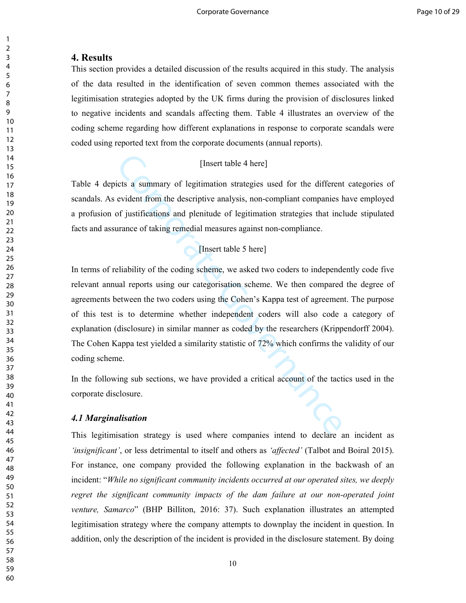## **4. Results**

This section provides a detailed discussion of the results acquired in this study. The analysis of the data resulted in the identification of seven common themes associated with the legitimisation strategies adopted by the UK firms during the provision of disclosures linked to negative incidents and scandals affecting them. Table 4 illustrates an overview of the coding scheme regarding how different explanations in response to corporate scandals were coded using reported text from the corporate documents (annual reports).

## [Insert table 4 here]

Table 4 depicts a summary of legitimation strategies used for the different categories of scandals. As evident from the descriptive analysis, non-compliant companies have employed a profusion of justifications and plenitude of legitimation strategies that include stipulated facts and assurance of taking remedial measures against non-compliance.

# [Insert table 5 here]

[Insert table 4 here]<br>
icts a summary of legitimation strategies used for the different<br>
evident from the descriptive analysis, non-compliant companies *b*<br>
of justifications and plenitude of legitimation strategies that i In terms of reliability of the coding scheme, we asked two coders to independently code five relevant annual reports using our categorisation scheme. We then compared the degree of agreements between the two coders using the Cohen's Kappa test of agreement. The purpose of this test is to determine whether independent coders will also code a category of explanation (disclosure) in similar manner as coded by the researchers (Krippendorff 2004). The Cohen Kappa test yielded a similarity statistic of 72% which confirms the validity of our coding scheme.

In the following sub sections, we have provided a critical account of the tactics used in the corporate disclosure.

## *4.1 Marginalisation*

This legitimisation strategy is used where companies intend to declare an incident as *'insignificant'*, or less detrimental to itself and others as *'affected'* (Talbot and Boiral 2015). For instance, one company provided the following explanation in the backwash of an incident: "*While no significant community incidents occurred at our operated sites, we deeply regret the significant community impacts of the dam failure at our non-operated joint venture, Samarco*" (BHP Billiton, 2016: 37). Such explanation illustrates an attempted legitimisation strategy where the company attempts to downplay the incident in question. In addition, only the description of the incident is provided in the disclosure statement. By doing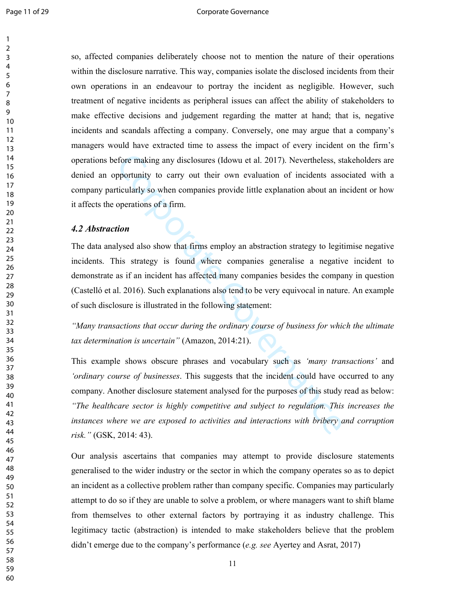so, affected companies deliberately choose not to mention the nature of their operations within the disclosure narrative. This way, companies isolate the disclosed incidents from their own operations in an endeavour to portray the incident as negligible. However, such treatment of negative incidents as peripheral issues can affect the ability of stakeholders to make effective decisions and judgement regarding the matter at hand; that is, negative incidents and scandals affecting a company. Conversely, one may argue that a company's managers would have extracted time to assess the impact of every incident on the firm's operations before making any disclosures (Idowu et al. 2017). Nevertheless, stakeholders are denied an opportunity to carry out their own evaluation of incidents associated with a company particularly so when companies provide little explanation about an incident or how it affects the operations of a firm.

## *4.2 Abstraction*

The data analysed also show that firms employ an abstraction strategy to legitimise negative incidents. This strategy is found where companies generalise a negative incident to demonstrate as if an incident has affected many companies besides the company in question (Castelló et al. 2016). Such explanations also tend to be very equivocal in nature. An example of such disclosure is illustrated in the following statement:

*"Many transactions that occur during the ordinary course of business for which the ultimate tax determination is uncertain"* (Amazon, 2014:21).

Fore making any disclosures (Idowu et al. 2017). Nevertheless, st<br>pportunity to carry out their own evaluation of incidents asset<br>icularly so when companies provide little explanation about an in<br>operations of a firm.<br>Inti This example shows obscure phrases and vocabulary such as *'many transactions'* and *'ordinary course of businesses*. This suggests that the incident could have occurred to any company. Another disclosure statement analysed for the purposes of this study read as below: *"The healthcare sector is highly competitive and subject to regulation. This increases the instances where we are exposed to activities and interactions with bribery and corruption risk."* (GSK, 2014: 43).

Our analysis ascertains that companies may attempt to provide disclosure statements generalised to the wider industry or the sector in which the company operates so as to depict an incident as a collective problem rather than company specific. Companies may particularly attempt to do so if they are unable to solve a problem, or where managers want to shift blame from themselves to other external factors by portraying it as industry challenge. This legitimacy tactic (abstraction) is intended to make stakeholders believe that the problem didn't emerge due to the company's performance (*e.g. see* Ayertey and Asrat, 2017)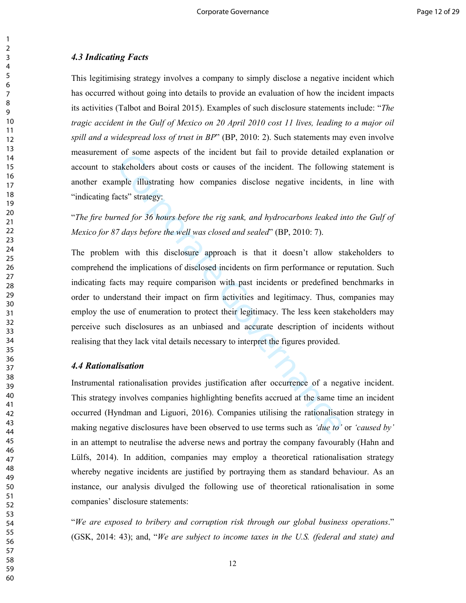## *4.3 Indicating Facts*

This legitimising strategy involves a company to simply disclose a negative incident which has occurred without going into details to provide an evaluation of how the incident impacts its activities (Talbot and Boiral 2015). Examples of such disclosure statements include: "*The tragic accident in the Gulf of Mexico on 20 April 2010 cost 11 lives, leading to a major oil spill and a widespread loss of trust in BP*" (BP, 2010: 2). Such statements may even involve measurement of some aspects of the incident but fail to provide detailed explanation or account to stakeholders about costs or causes of the incident. The following statement is another example illustrating how companies disclose negative incidents, in line with "indicating facts" strategy:

"*The fire burned for 36 hours before the rig sank, and hydrocarbons leaked into the Gulf of Mexico for 87 days before the well was closed and sealed*" (BP, 2010: 7).

For some aspects of the incluent but fail to provide detained to some aspects of the incluent but fail to provide detained takeholders about costs or causes of the incident. The followin mple illustrating how companies di The problem with this disclosure approach is that it doesn't allow stakeholders to comprehend the implications of disclosed incidents on firm performance or reputation. Such indicating facts may require comparison with past incidents or predefined benchmarks in order to understand their impact on firm activities and legitimacy. Thus, companies may employ the use of enumeration to protect their legitimacy. The less keen stakeholders may perceive such disclosures as an unbiased and accurate description of incidents without realising that they lack vital details necessary to interpret the figures provided.

## *4.4 Rationalisation*

Instrumental rationalisation provides justification after occurrence of a negative incident. This strategy involves companies highlighting benefits accrued at the same time an incident occurred (Hyndman and Liguori, 2016). Companies utilising the rationalisation strategy in making negative disclosures have been observed to use terms such as *'due to'* or *'caused by'* in an attempt to neutralise the adverse news and portray the company favourably (Hahn and Lülfs, 2014). In addition, companies may employ a theoretical rationalisation strategy whereby negative incidents are justified by portraying them as standard behaviour. As an instance, our analysis divulged the following use of theoretical rationalisation in some companies' disclosure statements:

"*We are exposed to bribery and corruption risk through our global business operations*." (GSK, 2014: 43); and, "*We are subject to income taxes in the U.S. (federal and state) and*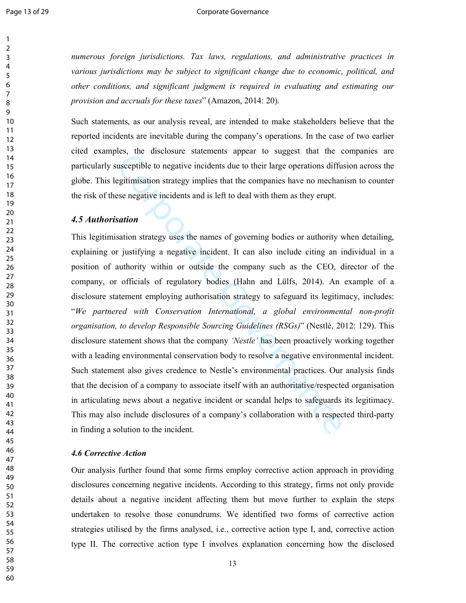#### Page 13 of 29 Corporate Governance

*numerous foreign jurisdictions. Tax laws, regulations, and administrative practices in various jurisdictions may be subject to significant change due to economic, political, and other conditions, and significant judgment is required in evaluating and estimating our provision and accruals for these taxes*" (Amazon, 2014: 20).

Such statements, as our analysis reveal, are intended to make stakeholders believe that the reported incidents are inevitable during the company's operations. In the case of two earlier cited examples, the disclosure statements appear to suggest that the companies are particularly susceptible to negative incidents due to their large operations diffusion across the globe. This legitimisation strategy implies that the companies have no mechanism to counter the risk of these negative incidents and is left to deal with them as they erupt.

### *4.5 Authorisation*

ress, and disclosure statements appear to suggest that the example is<br>usceptible to negative incidents due to their large operations diffure<br>gittimisation strategy implies that the companies have no mechan<br>see negative inc This legitimisation strategy uses the names of governing bodies or authority when detailing, explaining or justifying a negative incident. It can also include citing an individual in a position of authority within or outside the company such as the CEO, director of the company, or officials of regulatory bodies (Hahn and Lülfs, 2014). An example of a disclosure statement employing authorisation strategy to safeguard its legitimacy, includes: "*We partnered with Conservation International, a global environmental non-profit organisation, to develop Responsible Sourcing Guidelines (RSGs)*" (Nestlé, 2012: 129). This disclosure statement shows that the company *'Nestle'* has been proactively working together with a leading environmental conservation body to resolve a negative environmental incident. Such statement also gives credence to Nestle's environmental practices. Our analysis finds that the decision of a company to associate itself with an authoritative/respected organisation in articulating news about a negative incident or scandal helps to safeguards its legitimacy. This may also include disclosures of a company's collaboration with a respected third-party in finding a solution to the incident.

#### *4.6 Corrective Action*

Our analysis further found that some firms employ corrective action approach in providing disclosures concerning negative incidents. According to this strategy, firms not only provide details about a negative incident affecting them but move further to explain the steps undertaken to resolve those conundrums. We identified two forms of corrective action strategies utilised by the firms analysed, i.e., corrective action type I, and, corrective action type II. The corrective action type I involves explanation concerning how the disclosed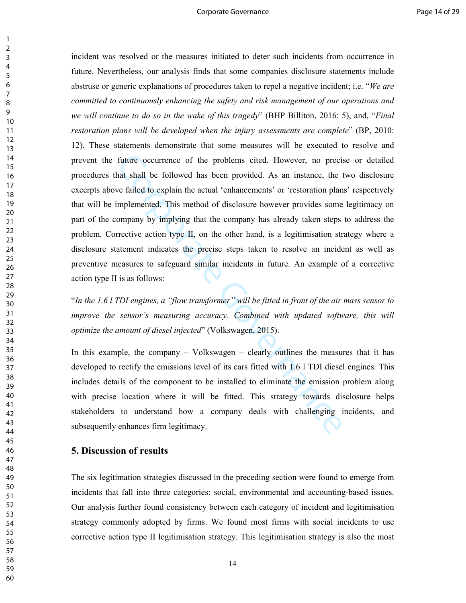#### Corporate Governance **Page 14 of 29** Corporate Governance

incident was resolved or the measures initiated to deter such incidents from occurrence in future. Nevertheless, our analysis finds that some companies disclosure statements include abstruse or generic explanations of procedures taken to repel a negative incident; i.e. "*We are committed to continuously enhancing the safety and risk management of our operations and we will continue to do so in the wake of this tragedy*" (BHP Billiton, 2016: 5), and, "*Final restoration plans will be developed when the injury assessments are complete*" (BP, 2010:

future occurrence of the problems cited. However, no precist shall be followed has been provided. As an instance, the two failed to explain the actual 'enhancements' or 'restoration plan implemented. This method of disclos 12). These statements demonstrate that some measures will be executed to resolve and prevent the future occurrence of the problems cited. However, no precise or detailed procedures that shall be followed has been provided. As an instance, the two disclosure excerpts above failed to explain the actual 'enhancements' or 'restoration plans' respectively that will be implemented. This method of disclosure however provides some legitimacy on part of the company by implying that the company has already taken steps to address the problem. Corrective action type II, on the other hand, is a legitimisation strategy where a disclosure statement indicates the precise steps taken to resolve an incident as well as preventive measures to safeguard similar incidents in future. An example of a corrective action type II is as follows:

"*In the 1.6 l TDI engines, a "flow transformer" will be fitted in front of the air mass sensor to improve the sensor's measuring accuracy. Combined with updated software, this will optimize the amount of diesel injected*" (Volkswagen, 2015).

In this example, the company – Volkswagen – clearly outlines the measures that it has developed to rectify the emissions level of its cars fitted with 1.6 l TDI diesel engines. This includes details of the component to be installed to eliminate the emission problem along with precise location where it will be fitted. This strategy towards disclosure helps stakeholders to understand how a company deals with challenging incidents, and subsequently enhances firm legitimacy.

## **5. Discussion of results**

The six legitimation strategies discussed in the preceding section were found to emerge from incidents that fall into three categories: social, environmental and accounting-based issues. Our analysis further found consistency between each category of incident and legitimisation strategy commonly adopted by firms. We found most firms with social incidents to use corrective action type II legitimisation strategy. This legitimisation strategy is also the most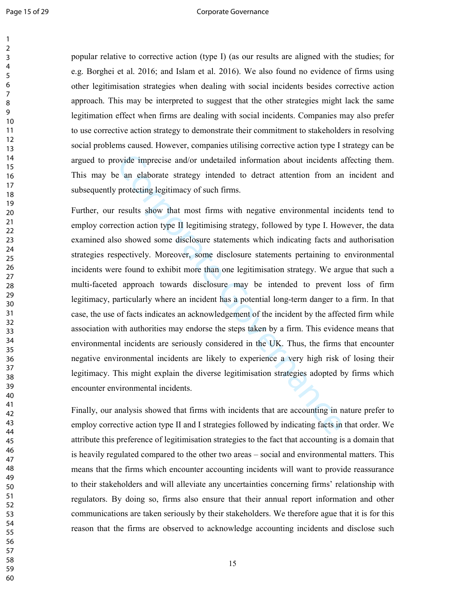#### Page 15 of 29 Corporate Governance

popular relative to corrective action (type I) (as our results are aligned with the studies; for e.g. Borghei et al. 2016; and Islam et al. 2016). We also found no evidence of firms using other legitimisation strategies when dealing with social incidents besides corrective action approach. This may be interpreted to suggest that the other strategies might lack the same legitimation effect when firms are dealing with social incidents. Companies may also prefer to use corrective action strategy to demonstrate their commitment to stakeholders in resolving social problems caused. However, companies utilising corrective action type I strategy can be argued to provide imprecise and/or undetailed information about incidents affecting them. This may be an elaborate strategy intended to detract attention from an incident and subsequently protecting legitimacy of such firms.

ovide imprecise and/or undetailed information about incidents a<br>e an elaborate strategy intended to detract attention from an<br>protecting legitimacy of such firms.<br>results show that most firms with negative environmental in Further, our results show that most firms with negative environmental incidents tend to employ correction action type II legitimising strategy, followed by type I. However, the data examined also showed some disclosure statements which indicating facts and authorisation strategies respectively. Moreover, some disclosure statements pertaining to environmental incidents were found to exhibit more than one legitimisation strategy. We argue that such a multi-faceted approach towards disclosure may be intended to prevent loss of firm legitimacy, particularly where an incident has a potential long-term danger to a firm. In that case, the use of facts indicates an acknowledgement of the incident by the affected firm while association with authorities may endorse the steps taken by a firm. This evidence means that environmental incidents are seriously considered in the UK. Thus, the firms that encounter negative environmental incidents are likely to experience a very high risk of losing their legitimacy. This might explain the diverse legitimisation strategies adopted by firms which encounter environmental incidents.

Finally, our analysis showed that firms with incidents that are accounting in nature prefer to employ corrective action type II and I strategies followed by indicating facts in that order. We attribute this preference of legitimisation strategies to the fact that accounting is a domain that is heavily regulated compared to the other two areas – social and environmental matters. This means that the firms which encounter accounting incidents will want to provide reassurance to their stakeholders and will alleviate any uncertainties concerning firms' relationship with regulators. By doing so, firms also ensure that their annual report information and other communications are taken seriously by their stakeholders. We therefore ague that it is for this reason that the firms are observed to acknowledge accounting incidents and disclose such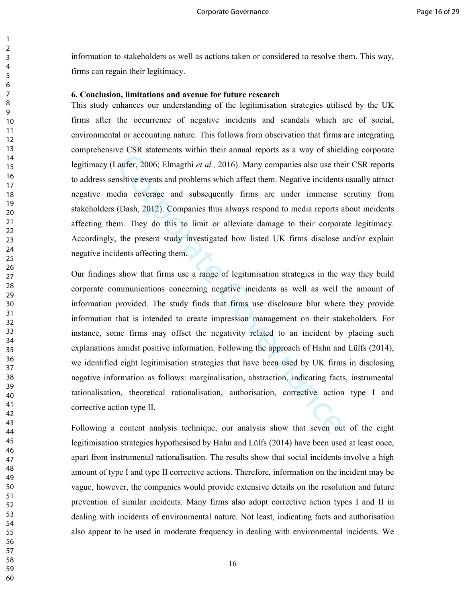information to stakeholders as well as actions taken or considered to resolve them. This way, firms can regain their legitimacy.

#### **6. Conclusion, limitations and avenue for future research**

This study enhances our understanding of the legitimisation strategies utilised by the UK firms after the occurrence of negative incidents and scandals which are of social, environmental or accounting nature. This follows from observation that firms are integrating comprehensive CSR statements within their annual reports as a way of shielding corporate legitimacy (Laufer, 2006; Elmagrhi *et al.,* 2016). Many companies also use their CSR reports to address sensitive events and problems which affect them. Negative incidents usually attract negative media coverage and subsequently firms are under immense scrutiny from stakeholders (Dash, 2012). Companies thus always respond to media reports about incidents affecting them. They do this to limit or alleviate damage to their corporate legitimacy. Accordingly, the present study investigated how listed UK firms disclose and/or explain negative incidents affecting them.

For extractments when the all all all all all points as a way of since and the sample of a way of since and extraptional and the sample of a way of since and extine events and problems which affect them. Negative incidents Our findings show that firms use a range of legitimisation strategies in the way they build corporate communications concerning negative incidents as well as well the amount of information provided. The study finds that firms use disclosure blur where they provide information that is intended to create impression management on their stakeholders. For instance, some firms may offset the negativity related to an incident by placing such explanations amidst positive information. Following the approach of Hahn and Lülfs (2014), we identified eight legitimisation strategies that have been used by UK firms in disclosing negative information as follows: marginalisation, abstraction, indicating facts, instrumental rationalisation, theoretical rationalisation, authorisation, corrective action type I and corrective action type II.

Following a content analysis technique, our analysis show that seven out of the eight legitimisation strategies hypothesised by Hahn and Lülfs (2014) have been used at least once, apart from instrumental rationalisation. The results show that social incidents involve a high amount of type I and type II corrective actions. Therefore, information on the incident may be vague, however, the companies would provide extensive details on the resolution and future prevention of similar incidents. Many firms also adopt corrective action types I and II in dealing with incidents of environmental nature. Not least, indicating facts and authorisation also appear to be used in moderate frequency in dealing with environmental incidents. We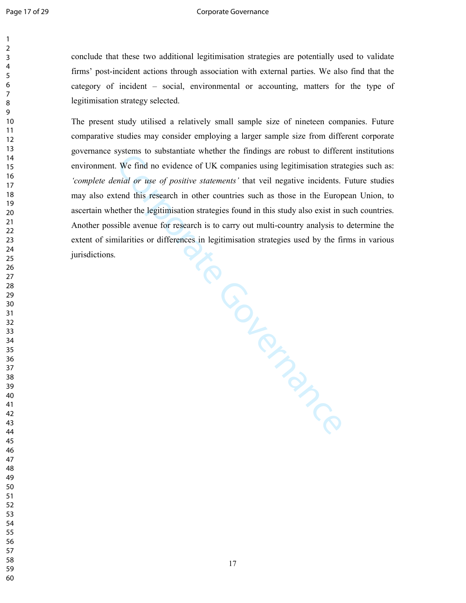#### Page 17 of 29 Corporate Governance

conclude that these two additional legitimisation strategies are potentially used to validate firms' post-incident actions through association with external parties. We also find that the category of incident – social, environmental or accounting, matters for the type of legitimisation strategy selected.

Corporate Governance The present study utilised a relatively small sample size of nineteen companies. Future comparative studies may consider employing a larger sample size from different corporate governance systems to substantiate whether the findings are robust to different institutions environment. We find no evidence of UK companies using legitimisation strategies such as: *'complete denial or use of positive statements'* that veil negative incidents. Future studies may also extend this research in other countries such as those in the European Union, to ascertain whether the legitimisation strategies found in this study also exist in such countries. Another possible avenue for research is to carry out multi-country analysis to determine the extent of similarities or differences in legitimisation strategies used by the firms in various jurisdictions.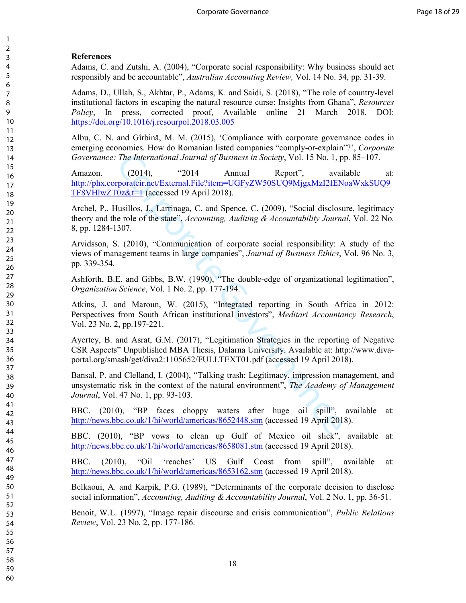## **References**

Adams, C. and Zutshi, A. (2004), "Corporate social responsibility: Why business should act responsibly and be accountable", *Australian Accounting Review,* Vol. 14 No. 34, pp. 31-39.

Adams, D., Ullah, S., Akhtar, P., Adams, K. and Saidi, S. (2018), "The role of country-level institutional factors in escaping the natural resource curse: Insights from Ghana", *Resources Policy*, In press, corrected proof, Available online 21 March 2018. DOI: https://doi.org/10.1016/j.resourpol.2018.03.005

Albu, C. N. and Gîrbină, M. M. (2015), 'Compliance with corporate governance codes in emerging economies. How do Romanian listed companies "comply-or-explain"?', *Corporate Governance: The International Journal of Business in Society*, Vol. 15 No. 1, pp. 85–107.

The International Journal of Business in Society, Vol. 15 No. 1, p<br>
(2014), "2014 Annual Report", avaining the Corporate Corporate Corporate Corporate Governal File 2item=UGFyZW50SUO9MigxMz12fEN<br>
( $\frac{1}{2}$ Corporate Gover Amazon. (2014), "2014 Annual Report", available at: http://phx.corporateir.net/External.File?item=UGFyZW50SUQ9MjgxMzI2fENoaWxkSUQ9 TF8VHlwZT0z&t=1 (accessed 19 April 2018).

Archel, P., Husillos, J., Larrinaga, C. and Spence, C. (2009), "Social disclosure, legitimacy theory and the role of the state", *Accounting, Auditing & Accountability Journal*, Vol. 22 No. 8, pp. 1284-1307.

Arvidsson, S. (2010), "Communication of corporate social responsibility: A study of the views of management teams in large companies", *Journal of Business Ethics*, Vol. 96 No. 3, pp. 339-354.

Ashforth, B.E. and Gibbs, B.W. (1990), "The double-edge of organizational legitimation", *Organization Science*, Vol. 1 No. 2, pp. 177-194.

Atkins, J. and Maroun, W. (2015), "Integrated reporting in South Africa in 2012: Perspectives from South African institutional investors", *Meditari Accountancy Research*, Vol. 23 No. 2, pp.197-221.

Ayertey, B. and Asrat, G.M. (2017), "Legitimation Strategies in the reporting of Negative CSR Aspects" Unpublished MBA Thesis, Dalarna University. Available at: http://www.divaportal.org/smash/get/diva2:1105652/FULLTEXT01.pdf (accessed 19 April 2018).

Bansal, P. and Clelland, I. (2004), "Talking trash: Legitimacy, impression management, and unsystematic risk in the context of the natural environment", *The Academy of Management Journal*, Vol. 47 No. 1, pp. 93-103.

BBC. (2010), "BP faces choppy waters after huge oil spill", available at: http://news.bbc.co.uk/1/hi/world/americas/8652448.stm (accessed 19 April 2018).

BBC. (2010), "BP vows to clean up Gulf of Mexico oil slick", available at: http://news.bbc.co.uk/1/hi/world/americas/8658081.stm (accessed 19 April 2018).

BBC. (2010), "Oil 'reaches' US Gulf Coast from spill", available at: http://news.bbc.co.uk/1/hi/world/americas/8653162.stm (accessed 19 April 2018).

Belkaoui, A. and Karpik, P.G. (1989), "Determinants of the corporate decision to disclose social information", *Accounting, Auditing & Accountability Journal*, Vol. 2 No. 1, pp. 36-51.

Benoit, W.L. (1997), "Image repair discourse and crisis communication", *Public Relations Review*, Vol. 23 No. 2, pp. 177-186.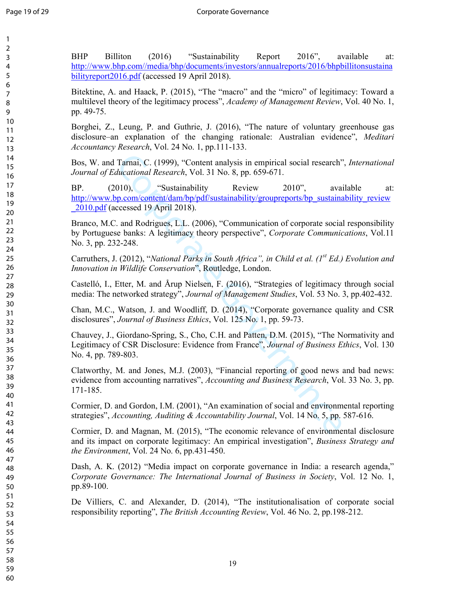BHP Billiton (2016) "Sustainability Report 2016", available at: http://www.bhp.com//media/bhp/documents/investors/annualreports/2016/bhpbillitonsustaina bilityreport2016.pdf (accessed 19 April 2018).

Bitektine, A. and Haack, P. (2015), "The "macro" and the "micro" of legitimacy: Toward a multilevel theory of the legitimacy process", *Academy of Management Review*, Vol. 40 No. 1, pp. 49-75.

Borghei, Z., Leung, P. and Guthrie, J. (2016), "The nature of voluntary greenhouse gas disclosure–an explanation of the changing rationale: Australian evidence", *Meditari Accountancy Research*, Vol. 24 No. 1, pp.111-133.

Bos, W. and Tarnai, C. (1999), "Content analysis in empirical social research", *International Journal of Educational Research*, Vol. 31 No. 8, pp. 659-671.

Tarnai, C. (1999), "Content analysis in empirical social research"<br>
ducational Research, Vol. 31 No. 8, pp. 659-671.<br>
010), "Sustainability Review 2010", avain<br>
<u>p.com/content/dam/bp/pdf/sustainability/groupreports/bp\_sus</u> BP. (2010), "Sustainability Review 2010", available at: http://www.bp.com/content/dam/bp/pdf/sustainability/groupreports/bp\_sustainability\_review \_2010.pdf (accessed 19 April 2018).

Branco, M.C. and Rodrigues, L.L. (2006), "Communication of corporate social responsibility by Portuguese banks: A legitimacy theory perspective", *Corporate Communications*, Vol.11 No. 3, pp. 232-248.

Carruthers, J. (2012), "*National Parks in South Africa", in Child et al. (1st Ed.) Evolution and Innovation in Wildlife Conservation*", Routledge, London.

Castelló, I., Etter, M. and Årup Nielsen, F. (2016), "Strategies of legitimacy through social media: The networked strategy", *Journal of Management Studies*, Vol. 53 No. 3, pp.402-432.

Chan, M.C., Watson, J. and Woodliff, D. (2014), "Corporate governance quality and CSR disclosures", *Journal of Business Ethics*, Vol. 125 No. 1, pp. 59-73.

Chauvey, J., Giordano-Spring, S., Cho, C.H. and Patten, D.M. (2015), "The Normativity and Legitimacy of CSR Disclosure: Evidence from France", *Journal of Business Ethics*, Vol. 130 No. 4, pp. 789-803.

Clatworthy, M. and Jones, M.J. (2003), "Financial reporting of good news and bad news: evidence from accounting narratives", *Accounting and Business Research*, Vol. 33 No. 3, pp. 171-185.

Cormier, D. and Gordon, I.M. (2001), "An examination of social and environmental reporting strategies", *Accounting, Auditing & Accountability Journal*, Vol. 14 No. 5, pp. 587-616.

Cormier, D. and Magnan, M. (2015), "The economic relevance of environmental disclosure and its impact on corporate legitimacy: An empirical investigation", *Business Strategy and the Environment*, Vol. 24 No. 6, pp.431-450.

Dash, A. K. (2012) "Media impact on corporate governance in India: a research agenda," *Corporate Governance: The International Journal of Business in Society*, Vol. 12 No. 1, pp.89-100.

De Villiers, C. and Alexander, D. (2014), "The institutionalisation of corporate social responsibility reporting", *The British Accounting Review*, Vol. 46 No. 2, pp.198-212.

58 59 60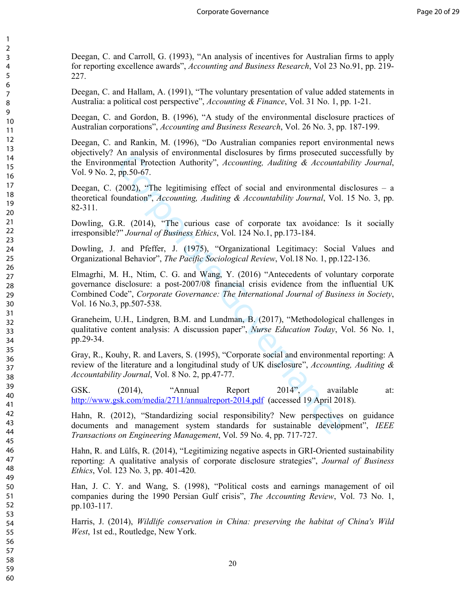Deegan, C. and Carroll, G. (1993), "An analysis of incentives for Australian firms to apply for reporting excellence awards", *Accounting and Business Research*, Vol 23 No.91, pp. 219- 227.

Deegan, C. and Hallam, A. (1991), "The voluntary presentation of value added statements in Australia: a political cost perspective", *Accounting & Finance*, Vol. 31 No. 1, pp. 1-21.

Deegan, C. and Gordon, B. (1996), "A study of the environmental disclosure practices of Australian corporations", *Accounting and Business Research*, Vol. 26 No. 3, pp. 187-199.

Deegan, C. and Rankin, M. (1996), "Do Australian companies report environmental news objectively? An analysis of environmental disclosures by firms prosecuted successfully by the Environmental Protection Authority", *Accounting, Auditing & Accountability Journal*, Vol. 9 No. 2, pp.50-67.

Deegan, C. (2002), "The legitimising effect of social and environmental disclosures – a theoretical foundation", *Accounting, Auditing & Accountability Journal*, Vol. 15 No. 3, pp. 82-311.

Dowling, G.R. (2014), "The curious case of corporate tax avoidance: Is it socially irresponsible?" *Journal of Business Ethics*, Vol. 124 No.1, pp.173-184.

Dowling, J. and Pfeffer, J. (1975), "Organizational Legitimacy: Social Values and Organizational Behavior", *The Pacific Sociological Review*, Vol.18 No. 1, pp.122-136.

An analysis or environmental discosures by itms prosecuted a<br>
enental Protection Authority", *Accounting, Auditing & Accounta*<br>
(2002), "The legitimising effect of social and environmental d<br>
undation", *Accounting, Audit* Elmagrhi, M. H., Ntim, C. G. and Wang, Y. (2016) "Antecedents of voluntary corporate governance disclosure: a post-2007/08 financial crisis evidence from the influential UK Combined Code", *Corporate Governance: The International Journal of Business in Society*, Vol. 16 No.3, pp.507-538.

Graneheim, U.H., Lindgren, B.M. and Lundman, B. (2017), "Methodological challenges in qualitative content analysis: A discussion paper", *Nurse Education Today*, Vol. 56 No. 1, pp.29-34.

Gray, R., Kouhy, R. and Lavers, S. (1995), "Corporate social and environmental reporting: A review of the literature and a longitudinal study of UK disclosure", *Accounting, Auditing & Accountability Journal*, Vol. 8 No. 2, pp.47-77.

GSK. (2014), "Annual Report 2014", available at: http://www.gsk.com/media/2711/annualreport-2014.pdf (accessed 19 April 2018).

Hahn, R. (2012), "Standardizing social responsibility? New perspectives on guidance documents and management system standards for sustainable development", *IEEE Transactions on Engineering Management*, Vol. 59 No. 4, pp. 717-727.

Hahn, R. and Lülfs, R. (2014), "Legitimizing negative aspects in GRI-Oriented sustainability reporting: A qualitative analysis of corporate disclosure strategies", *Journal of Business Ethics*, Vol. 123 No. 3, pp. 401-420.

Han, J. C. Y. and Wang, S. (1998), "Political costs and earnings management of oil companies during the 1990 Persian Gulf crisis", *The Accounting Review*, Vol. 73 No. 1, pp.103-117.

Harris, J. (2014), *Wildlife conservation in China: preserving the habitat of China's Wild West*, 1st ed., Routledge, New York.

20

58 59 60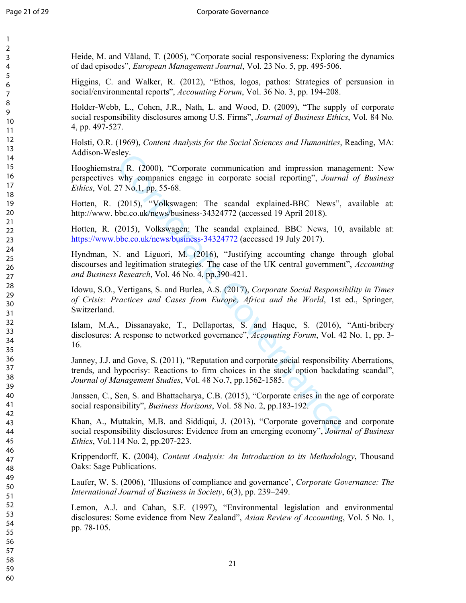Heide, M. and Våland, T. (2005), "Corporate social responsiveness: Exploring the dynamics of dad episodes", *European Management Journal*, Vol. 23 No. 5, pp. 495-506.

Higgins, C. and Walker, R. (2012), "Ethos, logos, pathos: Strategies of persuasion in social/environmental reports", *Accounting Forum*, Vol. 36 No. 3, pp. 194-208.

Holder-Webb, L., Cohen, J.R., Nath, L. and Wood, D. (2009), "The supply of corporate social responsibility disclosures among U.S. Firms", *Journal of Business Ethics*, Vol. 84 No. 4, pp. 497-527.

Holsti, O.R. (1969), *Content Analysis for the Social Sciences and Humanities*, Reading, MA: Addison-Wesley.

Hooghiemstra, R. (2000), "Corporate communication and impression management: New perspectives why companies engage in corporate social reporting", *Journal of Business Ethics*, Vol. 27 No.1, pp. 55-68.

Hotten, R. (2015), "Volkswagen: The scandal explained-BBC News", available at: http://www. bbc.co.uk/news/business-34324772 (accessed 19 April 2018).

Hotten, R. (2015), Volkswagen: The scandal explained. BBC News, 10, available at: https://www.bbc.co.uk/news/business-34324772 (accessed 19 July 2017).

Hyndman, N. and Liguori, M. (2016), "Justifying accounting change through global discourses and legitimation strategies. The case of the UK central government", *Accounting and Business Research*, Vol. 46 No. 4, pp.390-421.

Idowu, S.O., Vertigans, S. and Burlea, A.S. (2017), *Corporate Social Responsibility in Times of Crisis: Practices and Cases from Europe, Africa and the World*, 1st ed., Springer, Switzerland.

stey.<br>
2. R. (2000), "Corporate communication and impression mana-<br>
why companies engage in corporate social reporting", Journa<br>
27 No.1, pp. 55-68.<br>
(2015), "Volkswagen: The scandal explained-BBC News",<br>
5.00.15), "Volksw Islam, M.A., Dissanayake, T., Dellaportas, S. and Haque, S. (2016), "Anti-bribery disclosures: A response to networked governance", *Accounting Forum*, Vol. 42 No. 1, pp. 3- 16.

Janney, J.J. and Gove, S. (2011), "Reputation and corporate social responsibility Aberrations, trends, and hypocrisy: Reactions to firm choices in the stock option backdating scandal", *Journal of Management Studies*, Vol. 48 No.7, pp.1562-1585.

Janssen, C., Sen, S. and Bhattacharya, C.B. (2015), "Corporate crises in the age of corporate social responsibility", *Business Horizons*, Vol. 58 No. 2, pp.183-192.

Khan, A., Muttakin, M.B. and Siddiqui, J. (2013), "Corporate governance and corporate social responsibility disclosures: Evidence from an emerging economy", *Journal of Business Ethics*, Vol.114 No. 2, pp.207-223.

Krippendorff, K. (2004), *Content Analysis: An Introduction to its Methodology*, Thousand Oaks: Sage Publications.

Laufer, W. S. (2006), 'Illusions of compliance and governance', *Corporate Governance: The International Journal of Business in Society*, 6(3), pp. 239–249.

Lemon, A.J. and Cahan, S.F. (1997), "Environmental legislation and environmental disclosures: Some evidence from New Zealand", *Asian Review of Accounting*, Vol. 5 No. 1, pp. 78-105.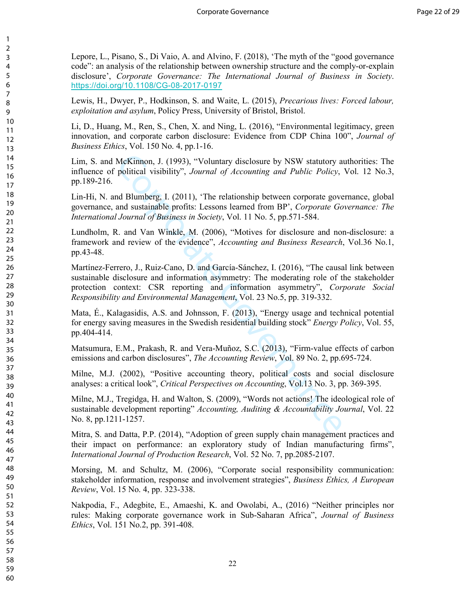Lepore, L., Pisano, S., Di Vaio, A. and Alvino, F. (2018), 'The myth of the "good governance code": an analysis of the relationship between ownership structure and the comply-or-explain disclosure', *Corporate Governance: The International Journal of Business in Society*. https://doi.org/10.1108/CG-08-2017-0197

Lewis, H., Dwyer, P., Hodkinson, S. and Waite, L. (2015), *Precarious lives: Forced labour, exploitation and asylum*, Policy Press, University of Bristol, Bristol.

Li, D., Huang, M., Ren, S., Chen, X. and Ning, L. (2016), "Environmental legitimacy, green innovation, and corporate carbon disclosure: Evidence from CDP China 100", *Journal of Business Ethics*, Vol. 150 No. 4, pp.1-16.

Lim, S. and McKinnon, J. (1993), "Voluntary disclosure by NSW statutory authorities: The influence of political visibility", *Journal of Accounting and Public Policy*, Vol. 12 No.3, pp.189-216.

Lin-Hi, N. and Blumberg, I. (2011), 'The relationship between corporate governance, global governance, and sustainable profits: Lessons learned from BP', *Corporate Governance: The International Journal of Business in Society*, Vol. 11 No. 5, pp.571-584.

Lundholm, R. and Van Winkle, M. (2006), "Motives for disclosure and non-disclosure: a framework and review of the evidence", *Accounting and Business Research*, Vol.36 No.1, pp.43-48.

McKinnon, J. (1993), "Voluntary disclosure by NSW statutory applitical visibility", *Journal of Accounting and Public Policy*,<br>
Ad Blumberg, I. (2011), 'The relationship between corporate governal sustainable profits: Less Martínez-Ferrero, J., Ruiz-Cano, D. and García-Sánchez, I. (2016), "The causal link between sustainable disclosure and information asymmetry: The moderating role of the stakeholder protection context: CSR reporting and information asymmetry", *Corporate Social Responsibility and Environmental Management*, Vol. 23 No.5, pp. 319-332.

Mata, É., Kalagasidis, A.S. and Johnsson, F. (2013), "Energy usage and technical potential for energy saving measures in the Swedish residential building stock" *Energy Policy*, Vol. 55, pp.404-414.

Matsumura, E.M., Prakash, R. and Vera-Muñoz, S.C. (2013), "Firm-value effects of carbon emissions and carbon disclosures", *The Accounting Review*, Vol. 89 No. 2, pp.695-724.

Milne, M.J. (2002), "Positive accounting theory, political costs and social disclosure analyses: a critical look", *Critical Perspectives on Accounting*, Vol.13 No. 3, pp. 369-395.

Milne, M.J., Tregidga, H. and Walton, S. (2009), "Words not actions! The ideological role of sustainable development reporting" *Accounting, Auditing & Accountability Journal*, Vol. 22 No. 8, pp.1211-1257.

Mitra, S. and Datta, P.P. (2014), "Adoption of green supply chain management practices and their impact on performance: an exploratory study of Indian manufacturing firms", *International Journal of Production Research*, Vol. 52 No. 7, pp.2085-2107.

Morsing, M. and Schultz, M. (2006), "Corporate social responsibility communication: stakeholder information, response and involvement strategies", *Business Ethics, A European Review*, Vol. 15 No. 4, pp. 323-338.

Nakpodia, F., Adegbite, E., Amaeshi, K. and Owolabi, A., (2016) "Neither principles nor rules: Making corporate governance work in Sub-Saharan Africa", *Journal of Business Ethics*, Vol. 151 No.2, pp. 391-408.

60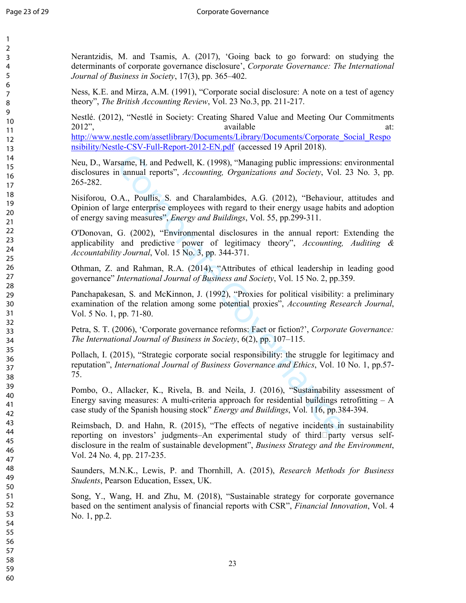| Nerantzidis, M. and Tsamis, A. (2017), 'Going back to go forward: on studying the<br>determinants of corporate governance disclosure', Corporate Governance: The International<br>Journal of Business in Society, 17(3), pp. 365–402.                                                                                  |
|------------------------------------------------------------------------------------------------------------------------------------------------------------------------------------------------------------------------------------------------------------------------------------------------------------------------|
| Ness, K.E. and Mirza, A.M. (1991), "Corporate social disclosure: A note on a test of agency<br>theory", The British Accounting Review, Vol. 23 No.3, pp. 211-217.                                                                                                                                                      |
| Nestlé. (2012), "Nestlé in Society: Creating Shared Value and Meeting Our Commitments<br>available<br>2012",<br>at:<br>http://www.nestle.com/assetlibrary/Documents/Library/Documents/Corporate Social Respo<br>nsibility/Nestle-CSV-Full-Report-2012-EN.pdf (accessed 19 April 2018).                                 |
| Neu, D., Warsame, H. and Pedwell, K. (1998), "Managing public impressions: environmental<br>disclosures in annual reports", Accounting, Organizations and Society, Vol. 23 No. 3, pp.<br>265-282.                                                                                                                      |
| Nisiforou, O.A., Poullis, S. and Charalambides, A.G. (2012), "Behaviour, attitudes and<br>Opinion of large enterprise employees with regard to their energy usage habits and adoption<br>of energy saving measures", <i>Energy and Buildings</i> , Vol. 55, pp.299-311.                                                |
| O'Donovan, G. (2002), "Environmental disclosures in the annual report: Extending the<br>applicability and predictive power of legitimacy theory", Accounting, Auditing &<br>Accountability Journal, Vol. 15 No. 3, pp. 344-371.                                                                                        |
| Othman, Z. and Rahman, R.A. (2014), "Attributes of ethical leadership in leading good<br>governance" International Journal of Business and Society, Vol. 15 No. 2, pp.359.                                                                                                                                             |
| Panchapakesan, S. and McKinnon, J. (1992), "Proxies for political visibility: a preliminary<br>examination of the relation among some potential proxies", Accounting Research Journal,<br>Vol. 5 No. 1, pp. 71-80.                                                                                                     |
| Petra, S. T. (2006), 'Corporate governance reforms: Fact or fiction?', Corporate Governance:<br>The International Journal of Business in Society, 6(2), pp. 107-115.                                                                                                                                                   |
| Pollach, I. (2015), "Strategic corporate social responsibility: the struggle for legitimacy and<br>reputation", International Journal of Business Governance and Ethics, Vol. 10 No. 1, pp.57-<br>75.                                                                                                                  |
| Pombo, O., Allacker, K., Rivela, B. and Neila, J. (2016), "Sustainability assessment of<br>Energy saving measures: A multi-criteria approach for residential buildings retrofitting $- A$<br>case study of the Spanish housing stock" <i>Energy and Buildings</i> , Vol. 116, pp.384-394.                              |
| Reimsbach, D. and Hahn, R. (2015), "The effects of negative incidents in sustainability<br>reporting on investors' judgments–An experimental study of third $\square$ party versus self-<br>disclosure in the realm of sustainable development", Business Strategy and the Environment,<br>Vol. 24 No. 4, pp. 217-235. |
| Saunders, M.N.K., Lewis, P. and Thornhill, A. (2015), Research Methods for Business<br>Students, Pearson Education, Essex, UK.                                                                                                                                                                                         |
| Song, Y., Wang, H. and Zhu, M. (2018), "Sustainable strategy for corporate governance<br>based on the sentiment analysis of financial reports with CSR", Financial Innovation, Vol. 4<br>No. 1, pp.2.                                                                                                                  |
|                                                                                                                                                                                                                                                                                                                        |
|                                                                                                                                                                                                                                                                                                                        |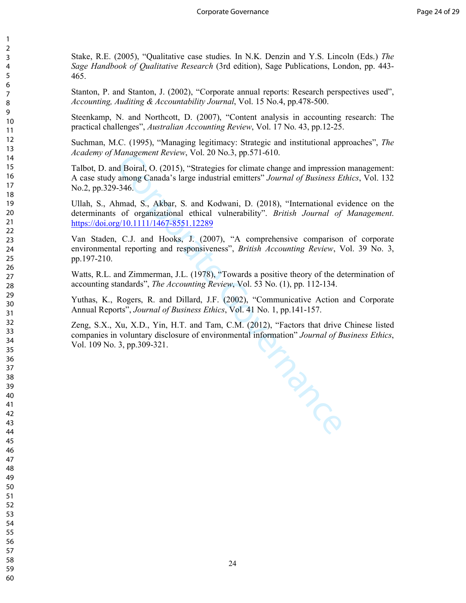Stake, R.E. (2005), "Qualitative case studies. In N.K. Denzin and Y.S. Lincoln (Eds.) *The Sage Handbook of Qualitative Research* (3rd edition), Sage Publications, London, pp. 443- 465.

Stanton, P. and Stanton, J. (2002), "Corporate annual reports: Research perspectives used", *Accounting, Auditing & Accountability Journal*, Vol. 15 No.4, pp.478-500.

Steenkamp, N. and Northcott, D. (2007), "Content analysis in accounting research: The practical challenges", *Australian Accounting Review*, Vol. 17 No. 43, pp.12-25.

Suchman, M.C. (1995), "Managing legitimacy: Strategic and institutional approaches", *The Academy of Management Review*, Vol. 20 No.3, pp.571-610.

Talbot, D. and Boiral, O. (2015), "Strategies for climate change and impression management: A case study among Canada's large industrial emitters" *Journal of Business Ethics*, Vol. 132 No.2, pp.329-346.

Ullah, S., Ahmad, S., Akbar, S. and Kodwani, D. (2018), "International evidence on the determinants of organizational ethical vulnerability". *British Journal of Management*. https://doi.org/10.1111/1467-8551.12289

Van Staden, C.J. and Hooks, J. (2007), "A comprehensive comparison of corporate environmental reporting and responsiveness", *British Accounting Review*, Vol. 39 No. 3, pp.197-210.

Watts, R.L. and Zimmerman, J.L. (1978), "Towards a positive theory of the determination of accounting standards", *The Accounting Review*, Vol. 53 No. (1), pp. 112-134.

Yuthas, K., Rogers, R. and Dillard, J.F. (2002), "Communicative Action and Corporate Annual Reports", *Journal of Business Ethics*, Vol. 41 No. 1, pp.141-157.

Management Review, Vol. 20 No.3, pp.3/1-610.<br>
d Boiral, O. (2015), "Strategies for climate change and impression<br>
among Canada's large industrial emitters" *Journal of Business En*<br>
a-346.<br>
hmad, S., Akbar, S. and Kodwani Zeng, S.X., Xu, X.D., Yin, H.T. and Tam, C.M. (2012), "Factors that drive Chinese listed companies in voluntary disclosure of environmental information" *Journal of Business Ethics*, Vol. 109 No. 3, pp.309-321.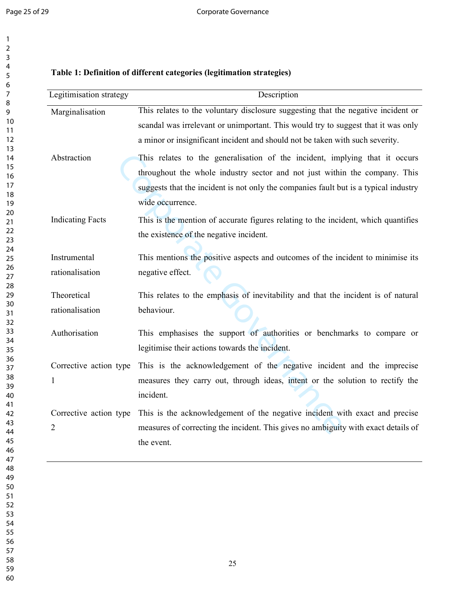# **Table 1: Definition of different categories (legitimation strategies)**

| Legitimisation strategy         | Description                                                                                                                                                                                                                                                           |
|---------------------------------|-----------------------------------------------------------------------------------------------------------------------------------------------------------------------------------------------------------------------------------------------------------------------|
| Marginalisation                 | This relates to the voluntary disclosure suggesting that the negative incident or<br>scandal was irrelevant or unimportant. This would try to suggest that it was only<br>a minor or insignificant incident and should not be taken with such severity.               |
| Abstraction                     | This relates to the generalisation of the incident, implying that it occurs<br>throughout the whole industry sector and not just within the company. This<br>suggests that the incident is not only the companies fault but is a typical industry<br>wide occurrence. |
| <b>Indicating Facts</b>         | This is the mention of accurate figures relating to the incident, which quantifies<br>the existence of the negative incident.                                                                                                                                         |
| Instrumental<br>rationalisation | This mentions the positive aspects and outcomes of the incident to minimise its<br>negative effect.                                                                                                                                                                   |
| Theoretical                     | This relates to the emphasis of inevitability and that the incident is of natural                                                                                                                                                                                     |
| rationalisation                 | behaviour.                                                                                                                                                                                                                                                            |
| Authorisation                   | This emphasises the support of authorities or benchmarks to compare or<br>legitimise their actions towards the incident.                                                                                                                                              |
| Corrective action type<br>1     | This is the acknowledgement of the negative incident and the imprecise<br>measures they carry out, through ideas, intent or the solution to rectify the<br>incident.                                                                                                  |
| Corrective action type<br>2     | This is the acknowledgement of the negative incident with exact and precise<br>measures of correcting the incident. This gives no ambiguity with exact details of<br>the event.                                                                                       |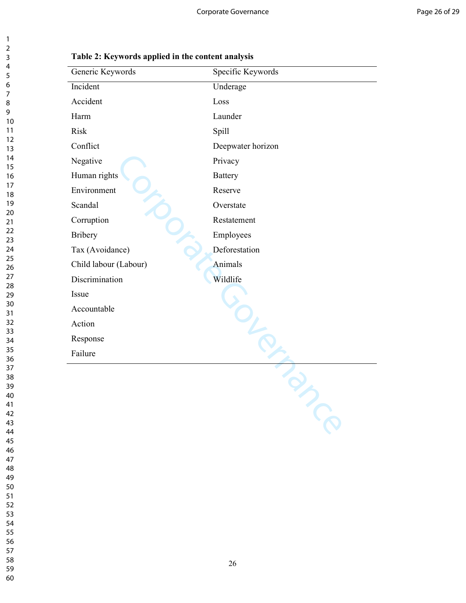| 2                            |  |
|------------------------------|--|
| 3                            |  |
| 4                            |  |
| 5                            |  |
| 6                            |  |
|                              |  |
|                              |  |
| 8                            |  |
| 9                            |  |
| 10                           |  |
| 11                           |  |
| $\overline{12}$              |  |
| 13                           |  |
| $\overline{14}$              |  |
| 15                           |  |
| 16                           |  |
| 17                           |  |
|                              |  |
| 18                           |  |
| 19                           |  |
| 20                           |  |
| $\overline{21}$              |  |
| $\overline{22}$              |  |
| 23                           |  |
| $\overline{24}$              |  |
| 25                           |  |
| 26                           |  |
| 27                           |  |
|                              |  |
| 28                           |  |
| 29                           |  |
| 30                           |  |
| 31                           |  |
| 32                           |  |
| 33                           |  |
| 34                           |  |
| 35                           |  |
| 36                           |  |
| 37                           |  |
| 38                           |  |
|                              |  |
| $\overline{\mathbf{3}}$<br>€ |  |
| 40                           |  |
| 41                           |  |
| 42                           |  |
| 43                           |  |
| 44                           |  |
| 45                           |  |
| 46                           |  |
| 47                           |  |
| 48                           |  |
|                              |  |
| 49                           |  |
| 50                           |  |
| 51                           |  |
| 52                           |  |
| 53                           |  |
| 54                           |  |
| 55                           |  |
| 56                           |  |
| 57                           |  |
| 58                           |  |
|                              |  |
| 59                           |  |

|  |  |  |  | Table 2: Keywords applied in the content analysis |  |
|--|--|--|--|---------------------------------------------------|--|
|--|--|--|--|---------------------------------------------------|--|

| Generic Keywords      | Specific Keywords           |
|-----------------------|-----------------------------|
| Incident              | Underage                    |
| Accident              | Loss                        |
| Harm                  | Launder                     |
| <b>Risk</b>           | Spill                       |
| Conflict              | Deepwater horizon           |
| Negative              | Privacy                     |
| Human rights          | <b>Battery</b>              |
| Environment           | Reserve                     |
| Scandal               | Overstate                   |
| Corruption            | Restatement                 |
| <b>Bribery</b>        | Employees                   |
| Tax (Avoidance)       | Deforestation               |
| Child labour (Labour) | Animals                     |
| Discrimination        | Wildlife                    |
| Issue                 |                             |
| Accountable           |                             |
| Action                |                             |
| Response              |                             |
| Failure               |                             |
|                       | $\mathcal{E}_{\mathcal{C}}$ |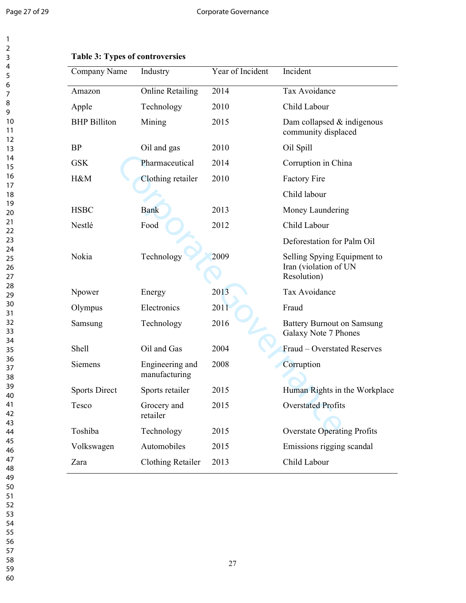| Company Name         | Industry                         | Year of Incident | Incident                                                            |
|----------------------|----------------------------------|------------------|---------------------------------------------------------------------|
| Amazon               | <b>Online Retailing</b>          | 2014             | <b>Tax Avoidance</b>                                                |
| Apple                | Technology                       | 2010             | Child Labour                                                        |
| <b>BHP</b> Billiton  | Mining                           | 2015             | Dam collapsed & indigenous<br>community displaced                   |
| <b>BP</b>            | Oil and gas                      | 2010             | Oil Spill                                                           |
| <b>GSK</b>           | Pharmaceutical                   | 2014             | Corruption in China                                                 |
| H&M                  | Clothing retailer                | 2010             | <b>Factory Fire</b>                                                 |
|                      |                                  |                  | Child labour                                                        |
| <b>HSBC</b>          | <b>Bank</b>                      | 2013             | Money Laundering                                                    |
| Nestlé               | Food                             | 2012             | Child Labour                                                        |
|                      |                                  |                  | Deforestation for Palm Oil                                          |
| Nokia                | Technology                       | 2009             | Selling Spying Equipment to<br>Iran (violation of UN<br>Resolution) |
| Npower               | Energy                           | 2013             | Tax Avoidance                                                       |
| Olympus              | Electronics                      | 2011             | Fraud                                                               |
| Samsung              | Technology                       | 2016             | <b>Battery Burnout on Samsung</b><br>Galaxy Note 7 Phones           |
| Shell                | Oil and Gas                      | 2004             | Fraud - Overstated Reserves                                         |
| <b>Siemens</b>       | Engineering and<br>manufacturing | 2008             | Corruption                                                          |
| <b>Sports Direct</b> | Sports retailer                  | 2015             | Human Rights in the Workplace                                       |
| Tesco                | Grocery and<br>retailer          | 2015             | <b>Overstated Profits</b>                                           |
| Toshiba              | Technology                       | 2015             | <b>Overstate Operating Profits</b>                                  |
| Volkswagen           | Automobiles                      | 2015             | Emissions rigging scandal                                           |
| Zara                 | <b>Clothing Retailer</b>         | 2013             | Child Labour                                                        |
|                      |                                  |                  |                                                                     |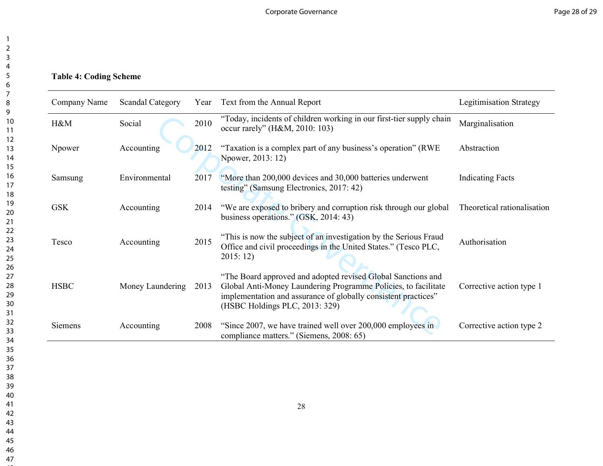<u> 1989 - Andrea Santa Alemania, amerikana amerikana amerikana amerikana amerikana amerikana amerikana amerikan</u>

# **Table 4: Coding Scheme**

| Company Name | <b>Scandal Category</b> | Year | Text from the Annual Report                                                                                                                                                                                                        | <b>Legitimisation Strategy</b> |
|--------------|-------------------------|------|------------------------------------------------------------------------------------------------------------------------------------------------------------------------------------------------------------------------------------|--------------------------------|
| H&M          | Social                  | 2010 | "Today, incidents of children working in our first-tier supply chain<br>occur rarely" (H&M, 2010: 103)                                                                                                                             | Marginalisation                |
| Npower       | Accounting              | 2012 | "Taxation is a complex part of any business's operation" (RWE)<br>Npower, 2013: 12)                                                                                                                                                | Abstraction                    |
| Samsung      | Environmental           | 2017 | "More than 200,000 devices and 30,000 batteries underwent<br>testing" (Samsung Electronics, 2017: 42)                                                                                                                              | <b>Indicating Facts</b>        |
| <b>GSK</b>   | Accounting              | 2014 | "We are exposed to bribery and corruption risk through our global<br>business operations." (GSK, 2014: 43)                                                                                                                         | Theoretical rationalisation    |
| Tesco        | Accounting              | 2015 | "This is now the subject of an investigation by the Serious Fraud<br>Office and civil proceedings in the United States." (Tesco PLC,<br>2015:12)                                                                                   | Authorisation                  |
| <b>HSBC</b>  | Money Laundering        | 2013 | "The Board approved and adopted revised Global Sanctions and<br>Global Anti-Money Laundering Programme Policies, to facilitate<br>implementation and assurance of globally consistent practices"<br>(HSBC Holdings PLC, 2013: 329) | Corrective action type 1       |
| Siemens      | Accounting              | 2008 | "Since 2007, we have trained well over 200,000 employees in<br>compliance matters." (Siemens, 2008: 65)                                                                                                                            | Corrective action type 2       |
|              |                         |      |                                                                                                                                                                                                                                    |                                |
|              |                         |      |                                                                                                                                                                                                                                    |                                |
|              |                         |      | 28                                                                                                                                                                                                                                 |                                |
|              |                         |      |                                                                                                                                                                                                                                    |                                |

47